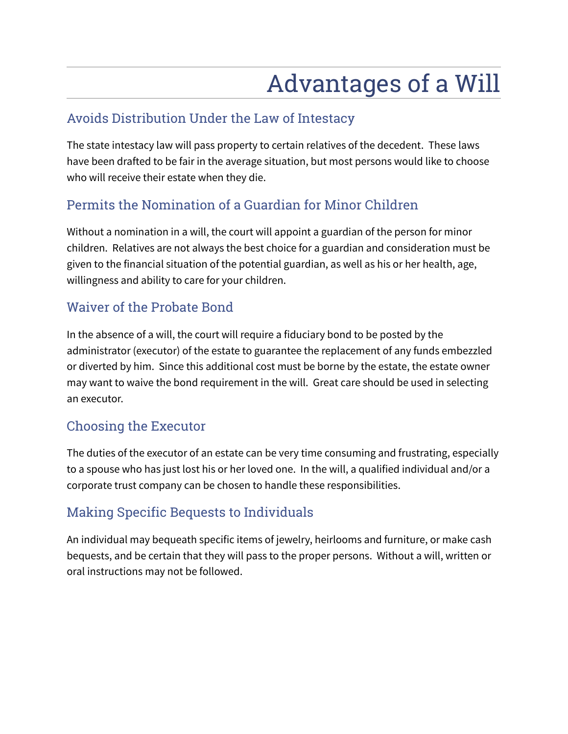# Advantages of a Will

### Avoids Distribution Under the Law of Intestacy

The state intestacy law will pass property to certain relatives of the decedent. These laws have been drafted to be fair in the average situation, but most persons would like to choose who will receive their estate when they die.

## Permits the Nomination of a Guardian for Minor Children

Without a nomination in a will, the court will appoint a guardian of the person for minor children. Relatives are not always the best choice for a guardian and consideration must be given to the financial situation of the potential guardian, as well as his or her health, age, willingness and ability to care for your children.

### Waiver of the Probate Bond

In the absence of a will, the court will require a fiduciary bond to be posted by the administrator (executor) of the estate to guarantee the replacement of any funds embezzled or diverted by him. Since this additional cost must be borne by the estate, the estate owner may want to waive the bond requirement in the will. Great care should be used in selecting an executor.

### Choosing the Executor

The duties of the executor of an estate can be very time consuming and frustrating, especially to a spouse who has just lost his or her loved one. In the will, a qualified individual and/or a corporate trust company can be chosen to handle these responsibilities.

### Making Specific Bequests to Individuals

An individual may bequeath specific items of jewelry, heirlooms and furniture, or make cash bequests, and be certain that they will pass to the proper persons. Without a will, written or oral instructions may not be followed.